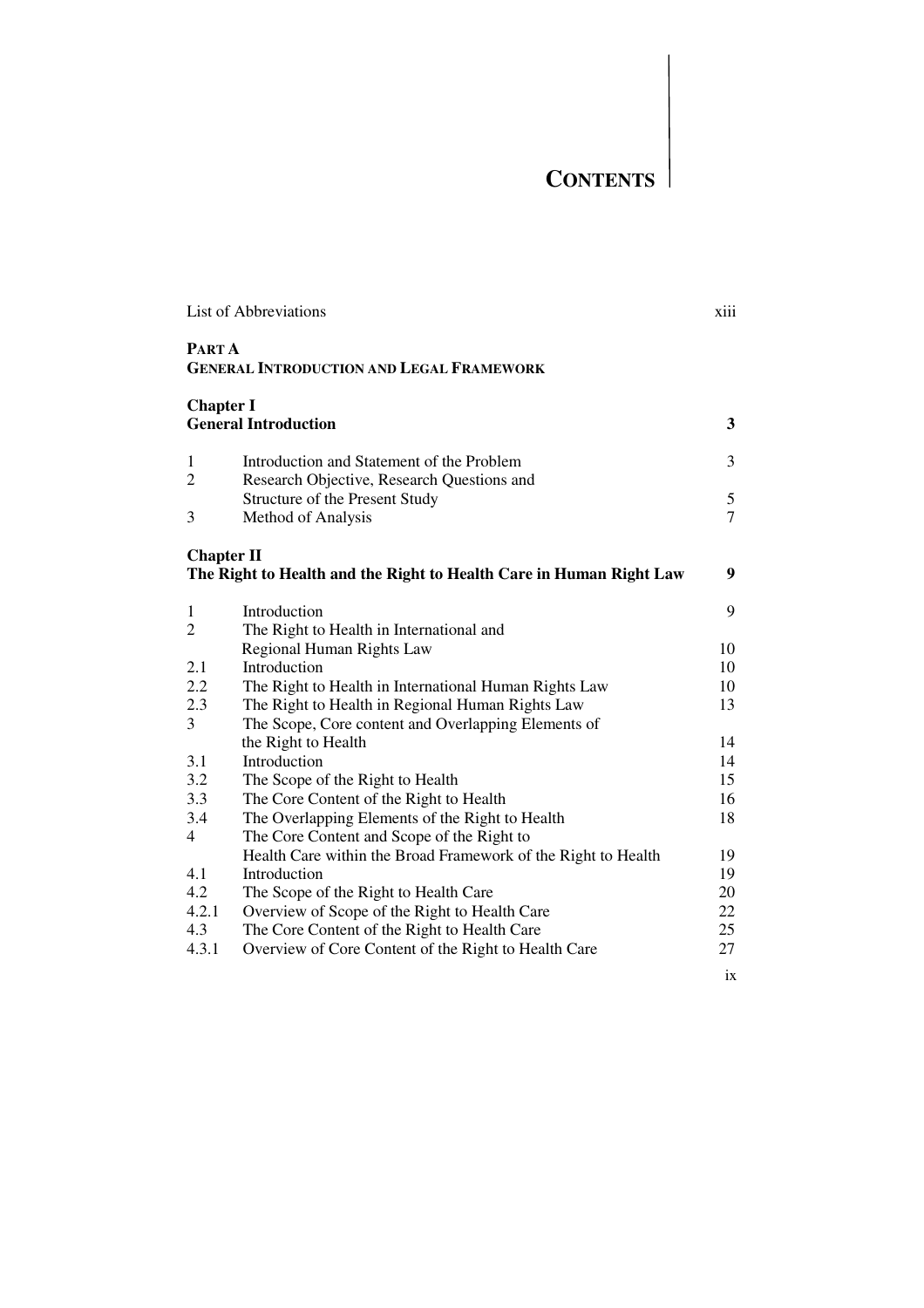## **CONTENTS**

|                   | <b>List of Abbreviations</b>                                        |                |
|-------------------|---------------------------------------------------------------------|----------------|
| <b>PARTA</b>      | <b>GENERAL INTRODUCTION AND LEGAL FRAMEWORK</b>                     |                |
| <b>Chapter I</b>  | <b>General Introduction</b>                                         | 3              |
| 1                 | Introduction and Statement of the Problem                           | 3              |
| 2                 | Research Objective, Research Questions and                          |                |
|                   | Structure of the Present Study                                      | 5              |
| 3                 | Method of Analysis                                                  | $\overline{7}$ |
| <b>Chapter II</b> |                                                                     |                |
|                   | The Right to Health and the Right to Health Care in Human Right Law | 9              |
| $\mathbf{1}$      | Introduction                                                        | 9              |
| $\overline{2}$    | The Right to Health in International and                            |                |
|                   | Regional Human Rights Law                                           | 10             |
| 2.1               | Introduction                                                        | 10             |
| 2.2               | The Right to Health in International Human Rights Law               | 10             |
| 2.3               | The Right to Health in Regional Human Rights Law                    | 13             |
| 3                 | The Scope, Core content and Overlapping Elements of                 |                |
|                   | the Right to Health                                                 | 14             |
| 3.1               | Introduction                                                        | 14             |
| 3.2               | The Scope of the Right to Health                                    | 15             |
| 3.3               | The Core Content of the Right to Health                             | 16             |
| 3.4               | The Overlapping Elements of the Right to Health                     | 18             |
| 4                 | The Core Content and Scope of the Right to                          |                |
|                   | Health Care within the Broad Framework of the Right to Health       | 19             |
| 4.1               | Introduction                                                        | 19             |
| 4.2               | The Scope of the Right to Health Care                               | 20             |
| 4.2.1             | Overview of Scope of the Right to Health Care                       | 22             |
| 4.3               | The Core Content of the Right to Health Care                        | 25             |
| 4.3.1             | Overview of Core Content of the Right to Health Care                | 27             |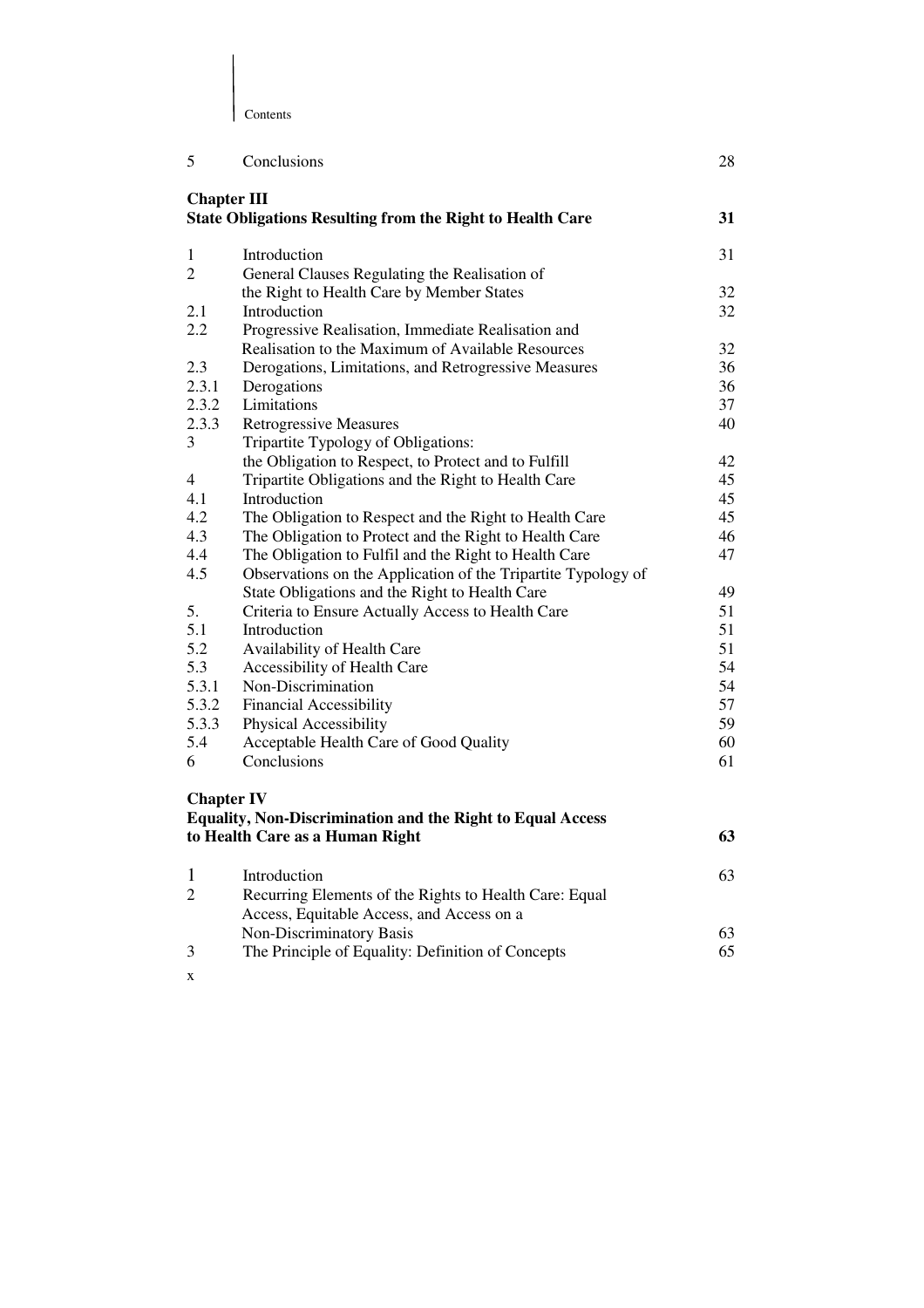| Contents<br>I |  |
|---------------|--|

| 5                  | Conclusions                                                       | 28 |
|--------------------|-------------------------------------------------------------------|----|
| <b>Chapter III</b> |                                                                   |    |
|                    | <b>State Obligations Resulting from the Right to Health Care</b>  | 31 |
| 1                  | Introduction                                                      | 31 |
| $\overline{2}$     | General Clauses Regulating the Realisation of                     |    |
|                    | the Right to Health Care by Member States                         | 32 |
| 2.1                | Introduction                                                      | 32 |
| 2.2                | Progressive Realisation, Immediate Realisation and                |    |
|                    | Realisation to the Maximum of Available Resources                 | 32 |
| 2.3                | Derogations, Limitations, and Retrogressive Measures              | 36 |
| 2.3.1              | Derogations                                                       | 36 |
| 2.3.2              | Limitations                                                       | 37 |
| 2.3.3              | <b>Retrogressive Measures</b>                                     | 40 |
| 3                  | Tripartite Typology of Obligations:                               |    |
|                    | the Obligation to Respect, to Protect and to Fulfill              | 42 |
| $\overline{4}$     | Tripartite Obligations and the Right to Health Care               | 45 |
| 4.1                | Introduction                                                      | 45 |
| 4.2                | The Obligation to Respect and the Right to Health Care            | 45 |
| 4.3                | The Obligation to Protect and the Right to Health Care            | 46 |
| 4.4                | The Obligation to Fulfil and the Right to Health Care             | 47 |
| 4.5                | Observations on the Application of the Tripartite Typology of     |    |
|                    | State Obligations and the Right to Health Care                    | 49 |
| 5.                 | Criteria to Ensure Actually Access to Health Care                 | 51 |
| 5.1                | Introduction                                                      | 51 |
| 5.2                | Availability of Health Care                                       | 51 |
| 5.3                | Accessibility of Health Care                                      | 54 |
| 5.3.1              | Non-Discrimination                                                | 54 |
| 5.3.2              | <b>Financial Accessibility</b>                                    | 57 |
| 5.3.3              | Physical Accessibility                                            | 59 |
| 5.4                | Acceptable Health Care of Good Quality                            | 60 |
| 6                  | Conclusions                                                       | 61 |
| <b>Chapter IV</b>  |                                                                   |    |
|                    | <b>Equality, Non-Discrimination and the Right to Equal Access</b> |    |
|                    | to Health Care as a Human Right                                   | 63 |
|                    |                                                                   |    |
| 1                  | Introduction                                                      | 63 |
| $\overline{c}$     | Recurring Elements of the Rights to Health Care: Equal            |    |
|                    | Access, Equitable Access, and Access on a                         |    |
|                    | Non-Discriminatory Basis                                          | 63 |
| 3                  | The Principle of Equality: Definition of Concepts                 | 65 |
|                    |                                                                   |    |

x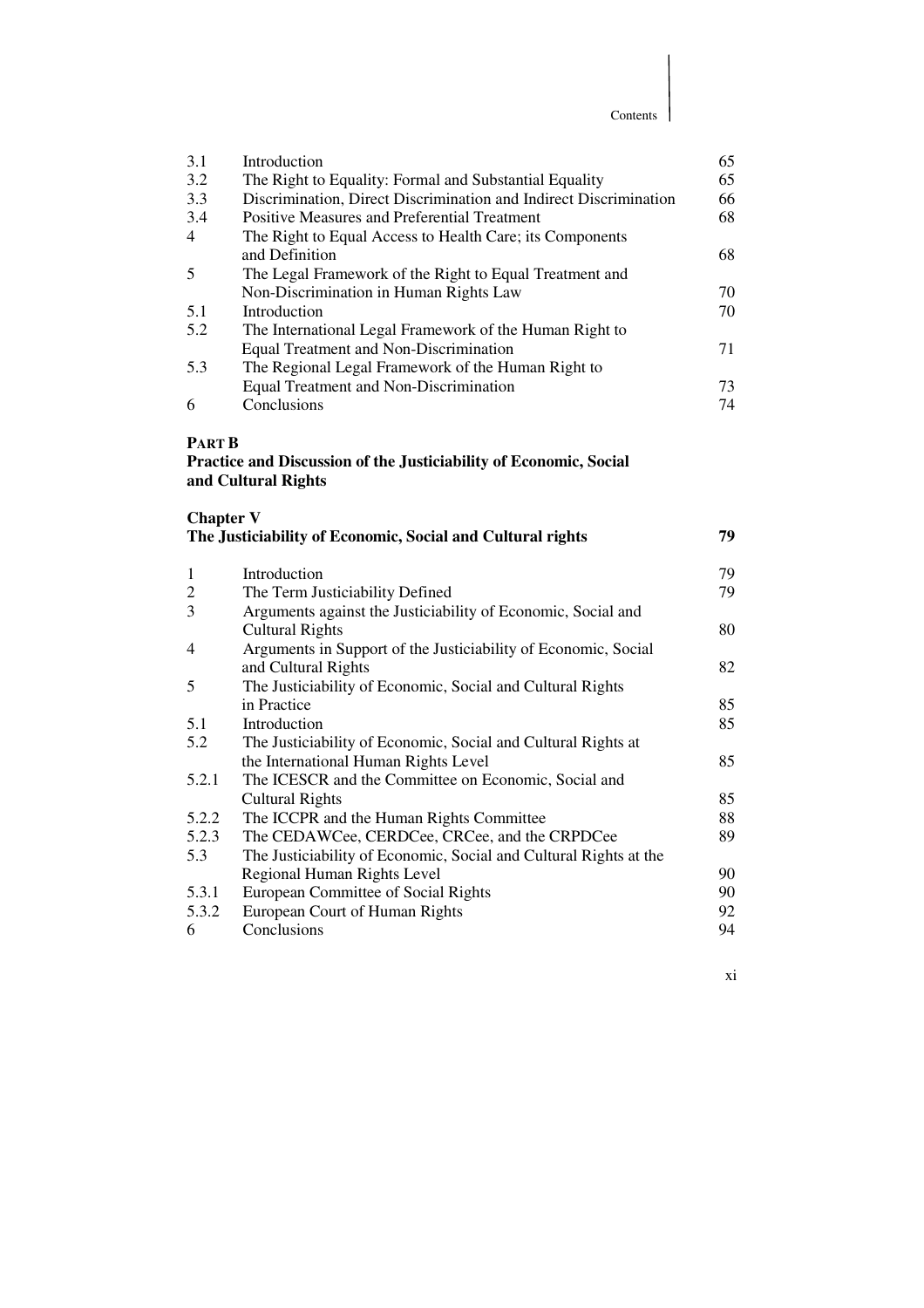Contents

| 3.1            | Introduction                                                      | 65 |
|----------------|-------------------------------------------------------------------|----|
| 3.2            | The Right to Equality: Formal and Substantial Equality            | 65 |
| 3.3            | Discrimination, Direct Discrimination and Indirect Discrimination | 66 |
| 3.4            | <b>Positive Measures and Preferential Treatment</b>               | 68 |
| $\overline{4}$ | The Right to Equal Access to Health Care; its Components          |    |
|                | and Definition                                                    | 68 |
| .5             | The Legal Framework of the Right to Equal Treatment and           |    |
|                | Non-Discrimination in Human Rights Law                            | 70 |
| 5.1            | Introduction                                                      | 70 |
| 5.2            | The International Legal Framework of the Human Right to           |    |
|                | Equal Treatment and Non-Discrimination                            | 71 |
| 5.3            | The Regional Legal Framework of the Human Right to                |    |
|                | Equal Treatment and Non-Discrimination                            | 73 |
| 6              | Conclusions                                                       | 74 |

## **PART B**

**Practice and Discussion of the Justiciability of Economic, Social and Cultural Rights** 

| <b>Chapter V</b> | The Justiciability of Economic, Social and Cultural rights        | 79 |
|------------------|-------------------------------------------------------------------|----|
|                  |                                                                   |    |
| 1                | Introduction                                                      | 79 |
| $\overline{c}$   | The Term Justiciability Defined                                   | 79 |
| 3                | Arguments against the Justiciability of Economic, Social and      |    |
|                  | <b>Cultural Rights</b>                                            | 80 |
| 4                | Arguments in Support of the Justiciability of Economic, Social    |    |
|                  | and Cultural Rights                                               | 82 |
| 5                | The Justiciability of Economic, Social and Cultural Rights        |    |
|                  | in Practice                                                       | 85 |
| 5.1              | Introduction                                                      | 85 |
| 5.2              | The Justiciability of Economic, Social and Cultural Rights at     |    |
|                  | the International Human Rights Level                              | 85 |
| 5.2.1            | The ICESCR and the Committee on Economic, Social and              |    |
|                  | <b>Cultural Rights</b>                                            | 85 |
| 5.2.2            | The ICCPR and the Human Rights Committee                          | 88 |
| 5.2.3            | The CEDAWCee, CERDCee, CRCee, and the CRPDCee                     | 89 |
| 5.3              | The Justiciability of Economic, Social and Cultural Rights at the |    |
|                  | Regional Human Rights Level                                       | 90 |
| 5.3.1            | European Committee of Social Rights                               | 90 |
| 5.3.2            | European Court of Human Rights                                    | 92 |
| 6                | Conclusions                                                       | 94 |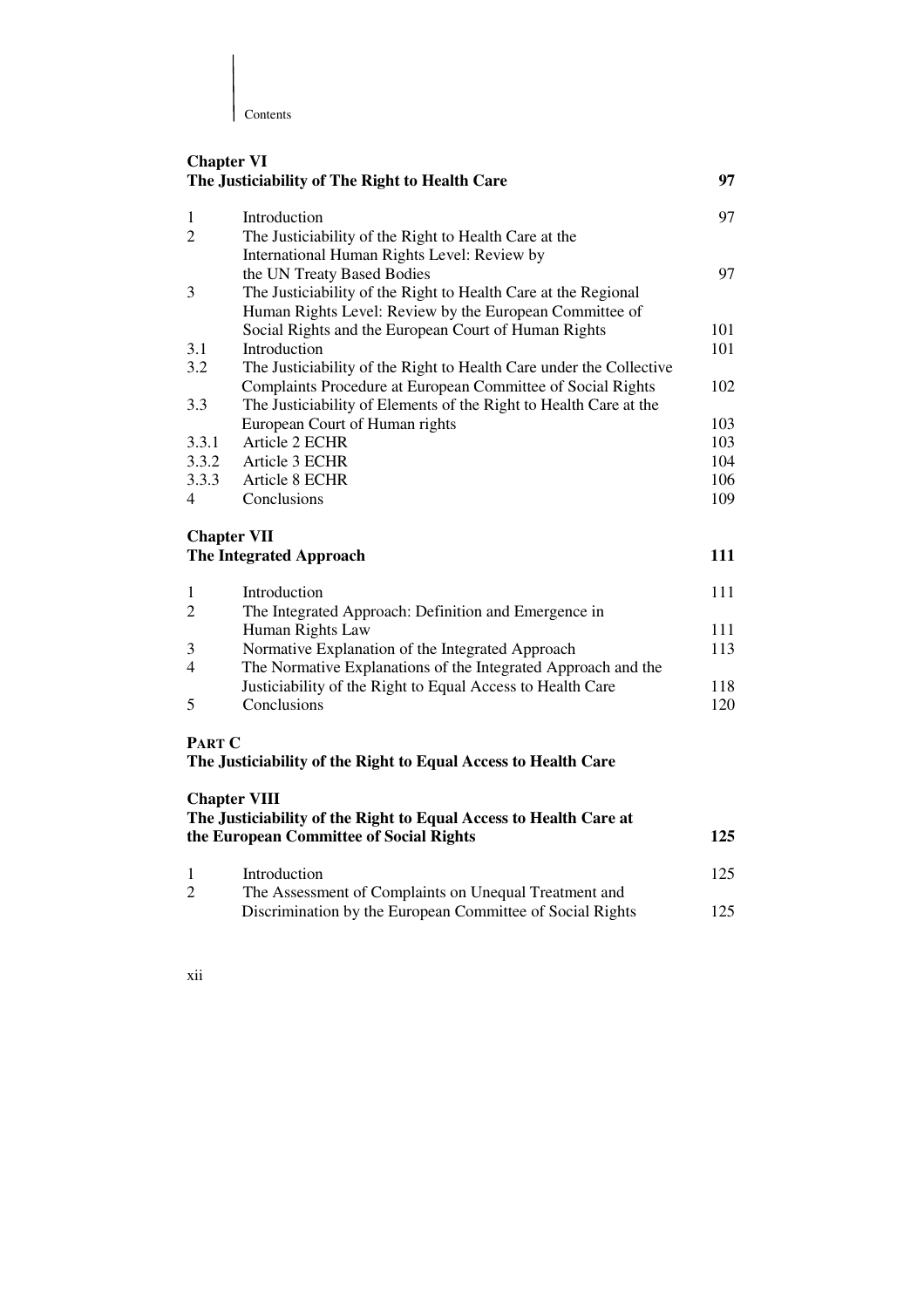| Contents

| <b>Chapter VI</b>   | The Justiciability of The Right to Health Care                                                               | 97  |
|---------------------|--------------------------------------------------------------------------------------------------------------|-----|
| 1                   | Introduction                                                                                                 | 97  |
| $\overline{2}$      | The Justiciability of the Right to Health Care at the                                                        |     |
|                     | International Human Rights Level: Review by                                                                  |     |
|                     | the UN Treaty Based Bodies                                                                                   | 97  |
| 3                   | The Justiciability of the Right to Health Care at the Regional                                               |     |
|                     | Human Rights Level: Review by the European Committee of                                                      |     |
|                     | Social Rights and the European Court of Human Rights                                                         | 101 |
| 3.1                 | Introduction                                                                                                 | 101 |
| 3.2                 | The Justiciability of the Right to Health Care under the Collective                                          |     |
|                     | Complaints Procedure at European Committee of Social Rights                                                  | 102 |
| 3.3                 | The Justiciability of Elements of the Right to Health Care at the                                            |     |
|                     | European Court of Human rights                                                                               | 103 |
| 3.3.1               | Article 2 ECHR                                                                                               | 103 |
| 3.3.2               | Article 3 ECHR                                                                                               | 104 |
| 3.3.3               | Article 8 ECHR                                                                                               | 106 |
| 4                   | Conclusions                                                                                                  | 109 |
| <b>Chapter VII</b>  | The Integrated Approach                                                                                      | 111 |
| 1                   | Introduction                                                                                                 | 111 |
| 2                   | The Integrated Approach: Definition and Emergence in                                                         |     |
|                     | Human Rights Law                                                                                             | 111 |
| 3                   | Normative Explanation of the Integrated Approach                                                             | 113 |
| 4                   | The Normative Explanations of the Integrated Approach and the                                                |     |
|                     | Justiciability of the Right to Equal Access to Health Care                                                   | 118 |
| 5                   | Conclusions                                                                                                  | 120 |
|                     |                                                                                                              |     |
| <b>PART C</b>       | The Justiciability of the Right to Equal Access to Health Care                                               |     |
| <b>Chapter VIII</b> |                                                                                                              |     |
|                     | The Justiciability of the Right to Equal Access to Health Care at<br>the European Committee of Social Rights | 125 |
| 1                   | Introduction                                                                                                 | 125 |
| $\overline{c}$      | The Assessment of Complaints on Unequal Treatment and                                                        |     |
|                     | Discrimination by the European Committee of Social Rights                                                    | 125 |
|                     |                                                                                                              |     |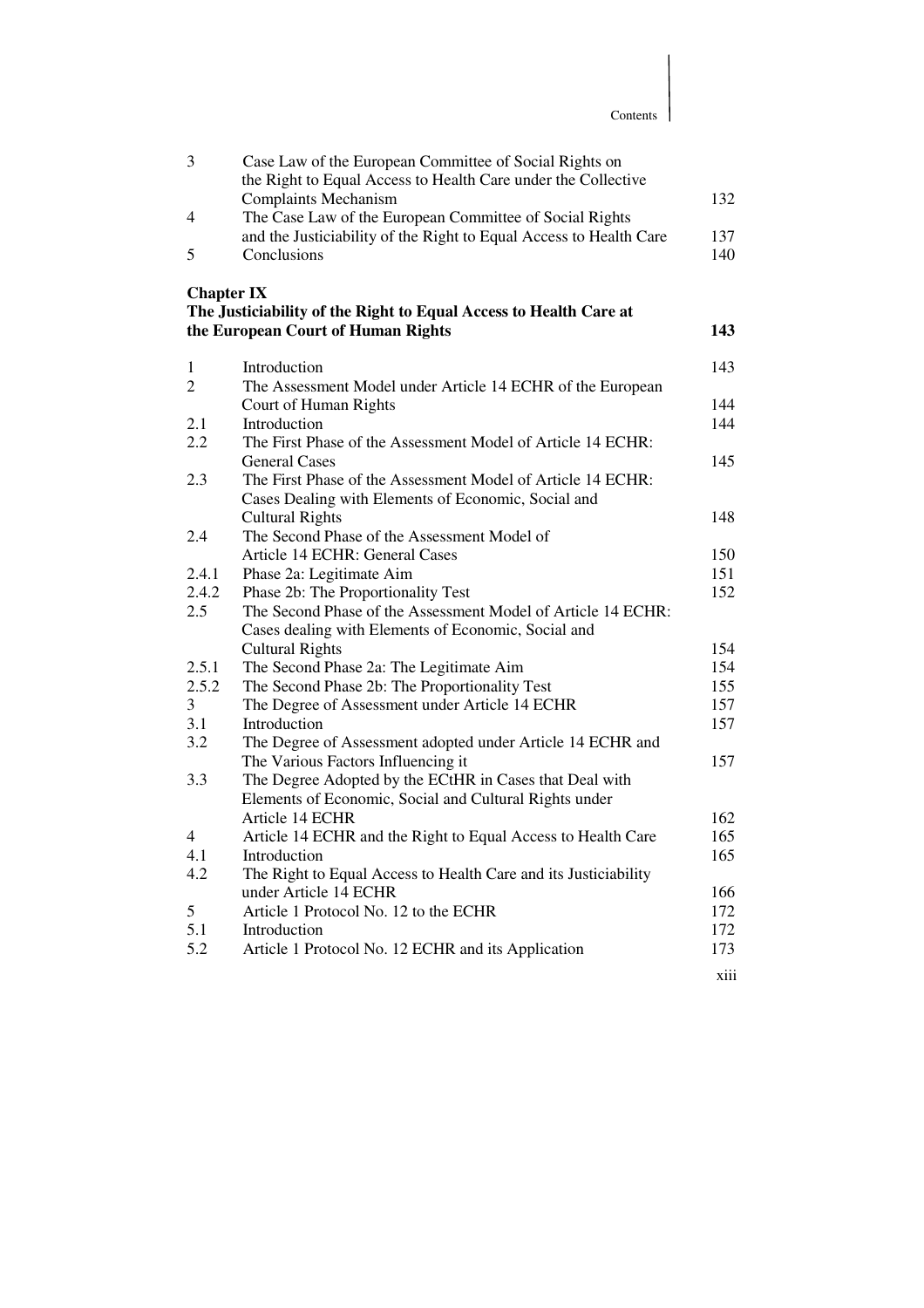|                   | Contents                                                                                                                |            |
|-------------------|-------------------------------------------------------------------------------------------------------------------------|------------|
| 3                 | Case Law of the European Committee of Social Rights on<br>the Right to Equal Access to Health Care under the Collective |            |
| 4                 | <b>Complaints Mechanism</b><br>The Case Law of the European Committee of Social Rights                                  | 132        |
| 5                 | and the Justiciability of the Right to Equal Access to Health Care<br>Conclusions                                       | 137<br>140 |
| <b>Chapter IX</b> |                                                                                                                         |            |
|                   | The Justiciability of the Right to Equal Access to Health Care at                                                       |            |
|                   | the European Court of Human Rights                                                                                      | 143        |
| 1                 | Introduction                                                                                                            | 143        |
| 2                 | The Assessment Model under Article 14 ECHR of the European<br>Court of Human Rights                                     | 144        |
| 2.1               | Introduction                                                                                                            | 144        |
| 2.2               | The First Phase of the Assessment Model of Article 14 ECHR:<br><b>General Cases</b>                                     | 145        |
| 2.3               | The First Phase of the Assessment Model of Article 14 ECHR:<br>Cases Dealing with Elements of Economic, Social and      |            |
| 2.4               | <b>Cultural Rights</b><br>The Second Phase of the Assessment Model of                                                   | 148        |
|                   | Article 14 ECHR: General Cases                                                                                          | 150        |
| 2.4.1             | Phase 2a: Legitimate Aim                                                                                                | 151        |
| 2.4.2             | Phase 2b: The Proportionality Test                                                                                      | 152        |
| 2.5               | The Second Phase of the Assessment Model of Article 14 ECHR:                                                            |            |
|                   | Cases dealing with Elements of Economic, Social and                                                                     |            |
|                   | <b>Cultural Rights</b>                                                                                                  | 154        |
| 2.5.1             | The Second Phase 2a: The Legitimate Aim                                                                                 | 154        |
| 2.5.2             | The Second Phase 2b: The Proportionality Test                                                                           | 155        |
| $\overline{3}$    | The Degree of Assessment under Article 14 ECHR                                                                          | 157        |
| 3.1               | Introduction                                                                                                            | 157        |
| 3.2               | The Degree of Assessment adopted under Article 14 ECHR and                                                              |            |
|                   | The Various Factors Influencing it                                                                                      | 157        |
| 3.3               | The Degree Adopted by the ECtHR in Cases that Deal with                                                                 |            |
|                   | Elements of Economic, Social and Cultural Rights under                                                                  |            |
|                   | Article 14 ECHR                                                                                                         | 162        |
| 4                 | Article 14 ECHR and the Right to Equal Access to Health Care                                                            | 165        |
| 4.1               | Introduction                                                                                                            | 165        |
| 4.2               | The Right to Equal Access to Health Care and its Justiciability                                                         |            |
|                   | under Article 14 ECHR                                                                                                   | 166        |
| 5                 | Article 1 Protocol No. 12 to the ECHR                                                                                   | 172        |
| 5.1               | Introduction                                                                                                            | 172        |
| 5.2               | Article 1 Protocol No. 12 ECHR and its Application                                                                      | 173        |
|                   |                                                                                                                         | xiii       |